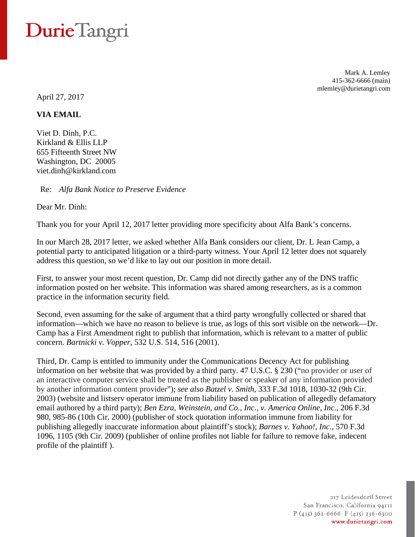## Durie Tangri

Mark A. Lemley 415-362-6666 (main) mlemley@durietangri.com

April 27, 2017

## **VIA EMAIL**

Viet D. Dinh, P.C. Kirkland & Ellis LLP 655 Fifteenth Street NW Washington, DC 20005 viet.dinh@kirkland.com

Re: *Alfa Bank Notice to Preserve Evidence* 

Dear Mr. Dinh:

Thank you for your April 12, 2017 letter providing more specificity about Alfa Bank's concerns.

In our March 28, 2017 letter, we asked whether Alfa Bank considers our client, Dr. L Jean Camp, a potential party to anticipated litigation or a third-party witness. Your April 12 letter does not squarely address this question, so we'd like to lay out our position in more detail.

First, to answer your most recent question, Dr. Camp did not directly gather any of the DNS traffic information posted on her website. This information was shared among researchers, as is a common practice in the information security field.

Second, even assuming for the sake of argument that a third party wrongfully collected or shared that information—which we have no reason to believe is true, as logs of this sort visible on the network—Dr. Camp has a First Amendment right to publish that information, which is relevant to a matter of public concern. *Bartnicki v. Vopper*, 532 U.S. 514, 516 (2001).

Third, Dr. Camp is entitled to immunity under the Communications Decency Act for publishing information on her website that was provided by a third party. 47 U.S.C. § 230 ("no provider or user of an interactive computer service shall be treated as the publisher or speaker of any information provided by another information content provider"); *see also Batzel v. Smith*, 333 F.3d 1018, 1030-32 (9th Cir. 2003) (website and listserv operator immune from liability based on publication of allegedly defamatory email authored by a third party); *Ben Ezra, Weinstein, and Co., Inc., v. America Online, Inc.*, 206 F.3d 980, 985-86 (10th Cir. 2000) (publisher of stock quotation information immune from liability for publishing allegedly inaccurate information about plaintiff's stock); *Barnes v. Yahoo!, Inc.*, 570 F.3d 1096, 1105 (9th Cir. 2009) (publisher of online profiles not liable for failure to remove fake, indecent profile of the plaintiff ).

> 217 Leidesdorff Street San Francisco, California 94111  $P(415)$  362-6666 F(415) 236-6300 www.durietangri.com